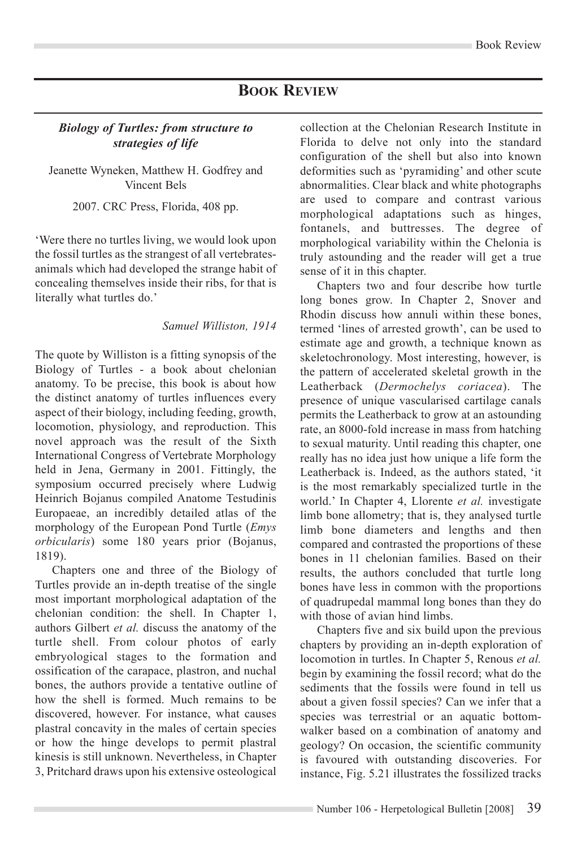## **Book Review**

## *Biology of Turtles: from structure to strategies of life*

Jeanette Wyneken, Matthew H. Godfrey and Vincent Bels

2007. CRC Press, Florida, 408 pp.

'Were there no turtles living, we would look upon the fossil turtles as the strangest of all vertebratesanimals which had developed the strange habit of concealing themselves inside their ribs, for that is literally what turtles do.'

## *Samuel Williston, 1914*

The quote by Williston is a fitting synopsis of the Biology of Turtles - a book about chelonian anatomy. To be precise, this book is about how the distinct anatomy of turtles influences every aspect of their biology, including feeding, growth, locomotion, physiology, and reproduction. This novel approach was the result of the Sixth International Congress of Vertebrate Morphology held in Jena, Germany in 2001. Fittingly, the symposium occurred precisely where Ludwig Heinrich Bojanus compiled Anatome Testudinis Europaeae, an incredibly detailed atlas of the morphology of the European Pond Turtle (*Emys orbicularis*) some 180 years prior (Bojanus, 1819).

Chapters one and three of the Biology of Turtles provide an in-depth treatise of the single most important morphological adaptation of the chelonian condition: the shell. In Chapter 1, authors Gilbert *et al.* discuss the anatomy of the turtle shell. From colour photos of early embryological stages to the formation and ossification of the carapace, plastron, and nuchal bones, the authors provide a tentative outline of how the shell is formed. Much remains to be discovered, however. For instance, what causes plastral concavity in the males of certain species or how the hinge develops to permit plastral kinesis is still unknown. Nevertheless, in Chapter 3, Pritchard draws upon his extensive osteological

collection at the Chelonian Research Institute in Florida to delve not only into the standard configuration of the shell but also into known deformities such as 'pyramiding' and other scute abnormalities. Clear black and white photographs are used to compare and contrast various morphological adaptations such as hinges, fontanels, and buttresses. The degree of morphological variability within the Chelonia is truly astounding and the reader will get a true sense of it in this chapter.

Chapters two and four describe how turtle long bones grow. In Chapter 2, Snover and Rhodin discuss how annuli within these bones, termed 'lines of arrested growth', can be used to estimate age and growth, a technique known as skeletochronology. Most interesting, however, is the pattern of accelerated skeletal growth in the Leatherback (*Dermochelys coriacea*). The presence of unique vascularised cartilage canals permits the Leatherback to grow at an astounding rate, an 8000-fold increase in mass from hatching to sexual maturity. Until reading this chapter, one really has no idea just how unique a life form the Leatherback is. Indeed, as the authors stated, 'it is the most remarkably specialized turtle in the world.' In Chapter 4, Llorente *et al.* investigate limb bone allometry; that is, they analysed turtle limb bone diameters and lengths and then compared and contrasted the proportions of these bones in 11 chelonian families. Based on their results, the authors concluded that turtle long bones have less in common with the proportions of quadrupedal mammal long bones than they do with those of avian hind limbs.

Chapters five and six build upon the previous chapters by providing an in-depth exploration of locomotion in turtles. In Chapter 5, Renous *et al.*  begin by examining the fossil record; what do the sediments that the fossils were found in tell us about a given fossil species? Can we infer that a species was terrestrial or an aquatic bottomwalker based on a combination of anatomy and geology? On occasion, the scientific community is favoured with outstanding discoveries. For instance, Fig. 5.21 illustrates the fossilized tracks